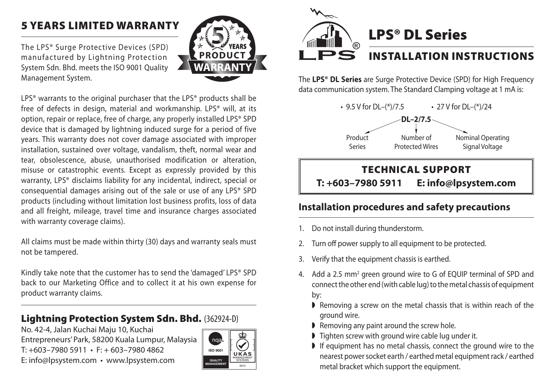## 5 Years Limited Warranty

The LPS® Surge Protective Devices (SPD) manufactured by Lightning Protection System Sdn. Bhd. meets the ISO 9001 Quality Management System.



LPS<sup>®</sup> warrants to the original purchaser that the LPS<sup>®</sup> products shall be free of defects in design, material and workmanship. LPS® will, at its option, repair or replace, free of charge, any properly installed LPS® SPD device that is damaged by lightning induced surge for a period of five years. This warranty does not cover damage associated with improper installation, sustained over voltage, vandalism, theft, normal wear and tear, obsolescence, abuse, unauthorised modification or alteration, misuse or catastrophic events. Except as expressly provided by this warranty, LPS® disclaims liability for any incidental, indirect, special or consequential damages arising out of the sale or use of any LPS® SPD products (including without limitation lost business profits, loss of data and all freight, mileage, travel time and insurance charges associated with warranty coverage claims).

All claims must be made within thirty (30) days and warranty seals must not be tampered.

Kindly take note that the customer has to send the 'damaged' LPS® SPD back to our Marketing Office and to collect it at his own expense for product warranty claims.

## Lightning Protection System Sdn. Bhd. (362924-D)

No. 42-4, Jalan Kuchai Maju 10, Kuchai Entrepreneurs' Park, 58200 Kuala Lumpur, Malaysia  $T: +603 - 79805911 \cdot F: +603 - 79804862$ E: info@lpsystem.com • www.lpsystem.com





The **LPS® DL Series** are Surge Protective Device (SPD) for High Frequency data communication system. The Standard Clamping voltage at 1 mA is:



## **Installation procedures and safety precautions**

- 1. Do not install during thunderstorm.
- 2. Turn off power supply to all equipment to be protected.
- 3. Verify that the equipment chassis is earthed.
- 4. Add a 2.5 mm<sup>2</sup> green ground wire to G of EQUIP terminal of SPD and connect the other end (with cable lug) to the metal chassis of equipment by:
	- $\blacktriangleright$  Removing a screw on the metal chassis that is within reach of the ground wire.
	- $\blacktriangleright$  Removing any paint around the screw hole.
	- $\triangleright$  Tighten screw with ground wire cable lug under it.
	- $\blacktriangleright$  If equipment has no metal chassis, connect the ground wire to the nearest power socket earth / earthed metal equipment rack / earthed metal bracket which support the equipment.